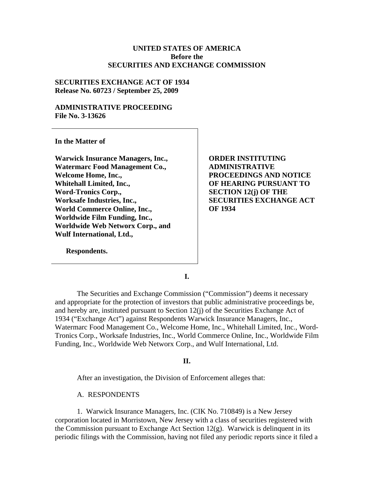## **UNITED STATES OF AMERICA Before the SECURITIES AND EXCHANGE COMMISSION**

## **SECURITIES EXCHANGE ACT OF 1934 Release No. 60723 / September 25, 2009**

## **ADMINISTRATIVE PROCEEDING File No. 3-13626**

**In the Matter of** 

**Warwick Insurance Managers, Inc., Watermarc Food Management Co., Welcome Home, Inc., Whitehall Limited, Inc., Word-Tronics Corp., Worksafe Industries, Inc., World Commerce Online, Inc., Worldwide Film Funding, Inc., Worldwide Web Networx Corp., and Wulf International, Ltd.,** 

**Respondents.** 

**ORDER INSTITUTING ADMINISTRATIVE PROCEEDINGS AND NOTICE OF HEARING PURSUANT TO SECTION 12(j) OF THE SECURITIES EXCHANGE ACT OF 1934** 

**I.** 

The Securities and Exchange Commission ("Commission") deems it necessary and appropriate for the protection of investors that public administrative proceedings be, and hereby are, instituted pursuant to Section 12(j) of the Securities Exchange Act of 1934 ("Exchange Act") against Respondents Warwick Insurance Managers, Inc., Watermarc Food Management Co., Welcome Home, Inc., Whitehall Limited, Inc., Word-Tronics Corp., Worksafe Industries, Inc., World Commerce Online, Inc., Worldwide Film Funding, Inc., Worldwide Web Networx Corp., and Wulf International, Ltd.

**II.** 

After an investigation, the Division of Enforcement alleges that:

A. RESPONDENTS

1. Warwick Insurance Managers, Inc. (CIK No. 710849) is a New Jersey corporation located in Morristown, New Jersey with a class of securities registered with the Commission pursuant to Exchange Act Section  $12(g)$ . Warwick is delinquent in its periodic filings with the Commission, having not filed any periodic reports since it filed a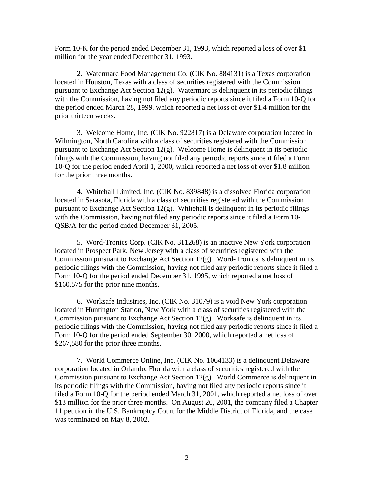Form 10-K for the period ended December 31, 1993, which reported a loss of over \$1 million for the year ended December 31, 1993.

2. Watermarc Food Management Co. (CIK No. 884131) is a Texas corporation located in Houston, Texas with a class of securities registered with the Commission pursuant to Exchange Act Section 12(g). Watermarc is delinquent in its periodic filings with the Commission, having not filed any periodic reports since it filed a Form 10-Q for the period ended March 28, 1999, which reported a net loss of over \$1.4 million for the prior thirteen weeks.

3. Welcome Home, Inc. (CIK No. 922817) is a Delaware corporation located in Wilmington, North Carolina with a class of securities registered with the Commission pursuant to Exchange Act Section 12(g). Welcome Home is delinquent in its periodic filings with the Commission, having not filed any periodic reports since it filed a Form 10-Q for the period ended April 1, 2000, which reported a net loss of over \$1.8 million for the prior three months.

4. Whitehall Limited, Inc. (CIK No. 839848) is a dissolved Florida corporation located in Sarasota, Florida with a class of securities registered with the Commission pursuant to Exchange Act Section  $12(g)$ . Whitehall is delinquent in its periodic filings with the Commission, having not filed any periodic reports since it filed a Form 10- QSB/A for the period ended December 31, 2005.

5. Word-Tronics Corp. (CIK No. 311268) is an inactive New York corporation located in Prospect Park, New Jersey with a class of securities registered with the Commission pursuant to Exchange Act Section  $12(g)$ . Word-Tronics is delinquent in its periodic filings with the Commission, having not filed any periodic reports since it filed a Form 10-Q for the period ended December 31, 1995, which reported a net loss of \$160,575 for the prior nine months.

6. Worksafe Industries, Inc. (CIK No. 31079) is a void New York corporation located in Huntington Station, New York with a class of securities registered with the Commission pursuant to Exchange Act Section  $12(g)$ . Worksafe is delinquent in its periodic filings with the Commission, having not filed any periodic reports since it filed a Form 10-Q for the period ended September 30, 2000, which reported a net loss of \$267,580 for the prior three months.

7. World Commerce Online, Inc. (CIK No. 1064133) is a delinquent Delaware corporation located in Orlando, Florida with a class of securities registered with the Commission pursuant to Exchange Act Section 12(g). World Commerce is delinquent in its periodic filings with the Commission, having not filed any periodic reports since it filed a Form 10-Q for the period ended March 31, 2001, which reported a net loss of over \$13 million for the prior three months. On August 20, 2001, the company filed a Chapter 11 petition in the U.S. Bankruptcy Court for the Middle District of Florida, and the case was terminated on May 8, 2002.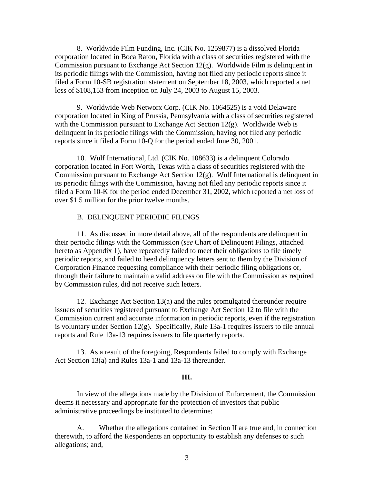8. Worldwide Film Funding, Inc. (CIK No. 1259877) is a dissolved Florida corporation located in Boca Raton, Florida with a class of securities registered with the Commission pursuant to Exchange Act Section  $12(g)$ . Worldwide Film is delinquent in its periodic filings with the Commission, having not filed any periodic reports since it filed a Form 10-SB registration statement on September 18, 2003, which reported a net loss of \$108,153 from inception on July 24, 2003 to August 15, 2003.

9. Worldwide Web Networx Corp. (CIK No. 1064525) is a void Delaware corporation located in King of Prussia, Pennsylvania with a class of securities registered with the Commission pursuant to Exchange Act Section  $12(g)$ . Worldwide Web is delinquent in its periodic filings with the Commission, having not filed any periodic reports since it filed a Form 10-Q for the period ended June 30, 2001.

10. Wulf International, Ltd. (CIK No. 108633) is a delinquent Colorado corporation located in Fort Worth, Texas with a class of securities registered with the Commission pursuant to Exchange Act Section  $12(g)$ . Wulf International is delinquent in its periodic filings with the Commission, having not filed any periodic reports since it filed a Form 10-K for the period ended December 31, 2002, which reported a net loss of over \$1.5 million for the prior twelve months.

#### B. DELINQUENT PERIODIC FILINGS

11. As discussed in more detail above, all of the respondents are delinquent in their periodic filings with the Commission (*see* Chart of Delinquent Filings, attached hereto as Appendix 1), have repeatedly failed to meet their obligations to file timely periodic reports, and failed to heed delinquency letters sent to them by the Division of Corporation Finance requesting compliance with their periodic filing obligations or, through their failure to maintain a valid address on file with the Commission as required by Commission rules, did not receive such letters.

12. Exchange Act Section 13(a) and the rules promulgated thereunder require issuers of securities registered pursuant to Exchange Act Section 12 to file with the Commission current and accurate information in periodic reports, even if the registration is voluntary under Section 12(g). Specifically, Rule 13a-1 requires issuers to file annual reports and Rule 13a-13 requires issuers to file quarterly reports.

13. As a result of the foregoing, Respondents failed to comply with Exchange Act Section 13(a) and Rules 13a-1 and 13a-13 thereunder.

## **III.**

In view of the allegations made by the Division of Enforcement, the Commission deems it necessary and appropriate for the protection of investors that public administrative proceedings be instituted to determine:

A. Whether the allegations contained in Section II are true and, in connection therewith, to afford the Respondents an opportunity to establish any defenses to such allegations; and,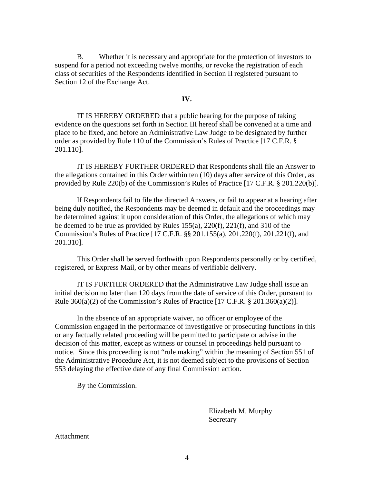B. Whether it is necessary and appropriate for the protection of investors to suspend for a period not exceeding twelve months, or revoke the registration of each class of securities of the Respondents identified in Section II registered pursuant to Section 12 of the Exchange Act.

#### **IV.**

IT IS HEREBY ORDERED that a public hearing for the purpose of taking evidence on the questions set forth in Section III hereof shall be convened at a time and place to be fixed, and before an Administrative Law Judge to be designated by further order as provided by Rule 110 of the Commission's Rules of Practice [17 C.F.R. § 201.110].

IT IS HEREBY FURTHER ORDERED that Respondents shall file an Answer to the allegations contained in this Order within ten (10) days after service of this Order, as provided by Rule 220(b) of the Commission's Rules of Practice [17 C.F.R. § 201.220(b)].

If Respondents fail to file the directed Answers, or fail to appear at a hearing after being duly notified, the Respondents may be deemed in default and the proceedings may be determined against it upon consideration of this Order, the allegations of which may be deemed to be true as provided by Rules 155(a), 220(f), 221(f), and 310 of the Commission's Rules of Practice [17 C.F.R. §§ 201.155(a), 201.220(f), 201.221(f), and 201.310].

This Order shall be served forthwith upon Respondents personally or by certified, registered, or Express Mail, or by other means of verifiable delivery.

IT IS FURTHER ORDERED that the Administrative Law Judge shall issue an initial decision no later than 120 days from the date of service of this Order, pursuant to Rule  $360(a)(2)$  of the Commission's Rules of Practice [17 C.F.R. § 201.360(a)(2)].

In the absence of an appropriate waiver, no officer or employee of the Commission engaged in the performance of investigative or prosecuting functions in this or any factually related proceeding will be permitted to participate or advise in the decision of this matter, except as witness or counsel in proceedings held pursuant to notice. Since this proceeding is not "rule making" within the meaning of Section 551 of the Administrative Procedure Act, it is not deemed subject to the provisions of Section 553 delaying the effective date of any final Commission action.

By the Commission.

 Elizabeth M. Murphy Secretary

**Attachment**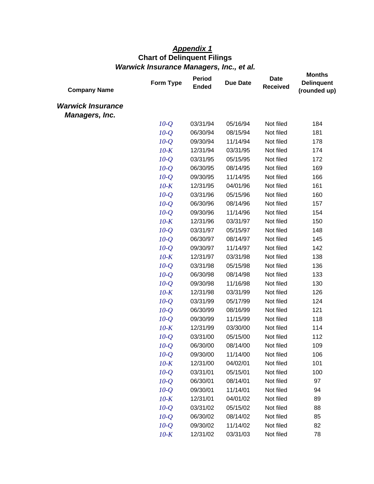# *Appendix 1*  **Chart of Delinquent Filings**  *Warwick Insurance Managers, Inc., et al.*

| <b>Company Name</b>                               | Form Type | <b>Period</b><br><b>Ended</b> | <b>Due Date</b> | <b>Date</b><br><b>Received</b> | <b>Months</b><br><b>Delinquent</b><br>(rounded up) |
|---------------------------------------------------|-----------|-------------------------------|-----------------|--------------------------------|----------------------------------------------------|
| <b>Warwick Insurance</b><br><b>Managers, Inc.</b> |           |                               |                 |                                |                                                    |
|                                                   | $10-Q$    | 03/31/94                      | 05/16/94        | Not filed                      | 184                                                |
|                                                   | $10-Q$    | 06/30/94                      | 08/15/94        | Not filed                      | 181                                                |
|                                                   | $10-O$    | 09/30/94                      | 11/14/94        | Not filed                      | 178                                                |
|                                                   | $10-K$    | 12/31/94                      | 03/31/95        | Not filed                      | 174                                                |
|                                                   | $10-Q$    | 03/31/95                      | 05/15/95        | Not filed                      | 172                                                |
|                                                   | $10-Q$    | 06/30/95                      | 08/14/95        | Not filed                      | 169                                                |
|                                                   | $10-Q$    | 09/30/95                      | 11/14/95        | Not filed                      | 166                                                |
|                                                   | $10-K$    | 12/31/95                      | 04/01/96        | Not filed                      | 161                                                |
|                                                   | $10-Q$    | 03/31/96                      | 05/15/96        | Not filed                      | 160                                                |
|                                                   | $10-Q$    | 06/30/96                      | 08/14/96        | Not filed                      | 157                                                |
|                                                   | $10-Q$    | 09/30/96                      | 11/14/96        | Not filed                      | 154                                                |
|                                                   | $10-K$    | 12/31/96                      | 03/31/97        | Not filed                      | 150                                                |
|                                                   | $10-Q$    | 03/31/97                      | 05/15/97        | Not filed                      | 148                                                |
|                                                   | $10-O$    | 06/30/97                      | 08/14/97        | Not filed                      | 145                                                |
|                                                   | $10-Q$    | 09/30/97                      | 11/14/97        | Not filed                      | 142                                                |
|                                                   | $10-K$    | 12/31/97                      | 03/31/98        | Not filed                      | 138                                                |
|                                                   | $10-Q$    | 03/31/98                      | 05/15/98        | Not filed                      | 136                                                |
|                                                   | $10-Q$    | 06/30/98                      | 08/14/98        | Not filed                      | 133                                                |
|                                                   | $10-Q$    | 09/30/98                      | 11/16/98        | Not filed                      | 130                                                |
|                                                   | $10-K$    | 12/31/98                      | 03/31/99        | Not filed                      | 126                                                |
|                                                   | $10-Q$    | 03/31/99                      | 05/17/99        | Not filed                      | 124                                                |
|                                                   | $10-Q$    | 06/30/99                      | 08/16/99        | Not filed                      | 121                                                |
|                                                   | $10-Q$    | 09/30/99                      | 11/15/99        | Not filed                      | 118                                                |
|                                                   | $10-K$    | 12/31/99                      | 03/30/00        | Not filed                      | 114                                                |
|                                                   | $10-Q$    | 03/31/00                      | 05/15/00        | Not filed                      | 112                                                |
|                                                   | $10-Q$    | 06/30/00                      | 08/14/00        | Not filed                      | 109                                                |
|                                                   | $10-Q$    | 09/30/00                      | 11/14/00        | Not filed                      | 106                                                |
|                                                   | $10-K$    | 12/31/00                      | 04/02/01        | Not filed                      | 101                                                |
|                                                   | $10-Q$    | 03/31/01                      | 05/15/01        | Not filed                      | 100                                                |
|                                                   | $10-Q$    | 06/30/01                      | 08/14/01        | Not filed                      | 97                                                 |
|                                                   | $10-Q$    | 09/30/01                      | 11/14/01        | Not filed                      | 94                                                 |
|                                                   | $10-K$    | 12/31/01                      | 04/01/02        | Not filed                      | 89                                                 |
|                                                   | $10-Q$    | 03/31/02                      | 05/15/02        | Not filed                      | 88                                                 |
|                                                   | $10-Q$    | 06/30/02                      | 08/14/02        | Not filed                      | 85                                                 |
|                                                   | $10-Q$    | 09/30/02                      | 11/14/02        | Not filed                      | 82                                                 |
|                                                   | $10-K$    | 12/31/02                      | 03/31/03        | Not filed                      | 78                                                 |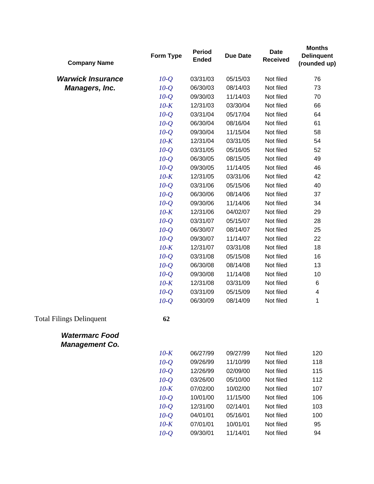| <b>Company Name</b>                            | Form Type | <b>Period</b><br><b>Ended</b> | <b>Due Date</b> | <b>Date</b><br><b>Received</b> | <b>Months</b><br><b>Delinquent</b><br>(rounded up) |
|------------------------------------------------|-----------|-------------------------------|-----------------|--------------------------------|----------------------------------------------------|
| <b>Warwick Insurance</b>                       | $10-Q$    | 03/31/03                      | 05/15/03        | Not filed                      | 76                                                 |
| <b>Managers, Inc.</b>                          | $10-Q$    | 06/30/03                      | 08/14/03        | Not filed                      | 73                                                 |
|                                                | $10-Q$    | 09/30/03                      | 11/14/03        | Not filed                      | 70                                                 |
|                                                | $10-K$    | 12/31/03                      | 03/30/04        | Not filed                      | 66                                                 |
|                                                | $10-Q$    | 03/31/04                      | 05/17/04        | Not filed                      | 64                                                 |
|                                                | $10-Q$    | 06/30/04                      | 08/16/04        | Not filed                      | 61                                                 |
|                                                | $10-Q$    | 09/30/04                      | 11/15/04        | Not filed                      | 58                                                 |
|                                                | $10-K$    | 12/31/04                      | 03/31/05        | Not filed                      | 54                                                 |
|                                                | $10-Q$    | 03/31/05                      | 05/16/05        | Not filed                      | 52                                                 |
|                                                | $10-Q$    | 06/30/05                      | 08/15/05        | Not filed                      | 49                                                 |
|                                                | $10-Q$    | 09/30/05                      | 11/14/05        | Not filed                      | 46                                                 |
|                                                | $10-K$    | 12/31/05                      | 03/31/06        | Not filed                      | 42                                                 |
|                                                | $10-Q$    | 03/31/06                      | 05/15/06        | Not filed                      | 40                                                 |
|                                                | $10-Q$    | 06/30/06                      | 08/14/06        | Not filed                      | 37                                                 |
|                                                | $10-Q$    | 09/30/06                      | 11/14/06        | Not filed                      | 34                                                 |
|                                                | $10-K$    | 12/31/06                      | 04/02/07        | Not filed                      | 29                                                 |
|                                                | $10-Q$    | 03/31/07                      | 05/15/07        | Not filed                      | 28                                                 |
|                                                | $10-Q$    | 06/30/07                      | 08/14/07        | Not filed                      | 25                                                 |
|                                                | $10-Q$    | 09/30/07                      | 11/14/07        | Not filed                      | 22                                                 |
|                                                | $10-K$    | 12/31/07                      | 03/31/08        | Not filed                      | 18                                                 |
|                                                | $10-Q$    | 03/31/08                      | 05/15/08        | Not filed                      | 16                                                 |
|                                                | $10-Q$    | 06/30/08                      | 08/14/08        | Not filed                      | 13                                                 |
|                                                | $10-Q$    | 09/30/08                      | 11/14/08        | Not filed                      | 10                                                 |
|                                                | $10-K$    | 12/31/08                      | 03/31/09        | Not filed                      | 6                                                  |
|                                                | $10-Q$    | 03/31/09                      | 05/15/09        | Not filed                      | 4                                                  |
|                                                | $10-Q$    | 06/30/09                      | 08/14/09        | Not filed                      | 1                                                  |
| <b>Total Filings Delinquent</b>                | 62        |                               |                 |                                |                                                    |
| <b>Watermarc Food</b><br><b>Management Co.</b> |           |                               |                 |                                |                                                    |
|                                                | $10-K$    | 06/27/99                      | 09/27/99        | Not filed                      | 120                                                |
|                                                | $10-Q$    | 09/26/99                      | 11/10/99        | Not filed                      | 118                                                |
|                                                | $10-Q$    | 12/26/99                      | 02/09/00        | Not filed                      | 115                                                |
|                                                | $10-Q$    | 03/26/00                      | 05/10/00        | Not filed                      | 112                                                |
|                                                | $10-K$    | 07/02/00                      | 10/02/00        | Not filed                      | 107                                                |
|                                                | $10-Q$    | 10/01/00                      | 11/15/00        | Not filed                      | 106                                                |
|                                                | $10-Q$    | 12/31/00                      | 02/14/01        | Not filed                      | 103                                                |
|                                                | $10-Q$    | 04/01/01                      | 05/16/01        | Not filed                      | 100                                                |
|                                                | $10-K$    | 07/01/01                      | 10/01/01        | Not filed                      | 95                                                 |
|                                                | $10-Q$    | 09/30/01                      | 11/14/01        | Not filed                      | 94                                                 |
|                                                |           |                               |                 |                                |                                                    |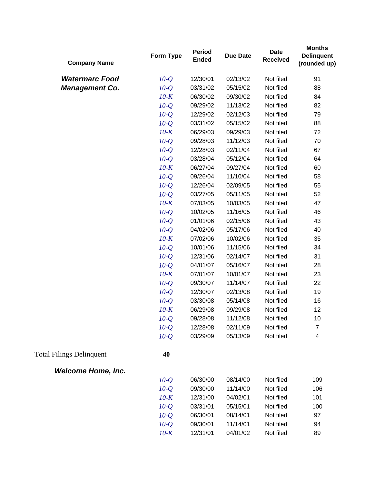| <b>Company Name</b>             | Form Type | <b>Period</b><br><b>Ended</b> | <b>Due Date</b> | <b>Date</b><br><b>Received</b> | <b>Months</b><br><b>Delinquent</b><br>(rounded up) |
|---------------------------------|-----------|-------------------------------|-----------------|--------------------------------|----------------------------------------------------|
| <b>Watermarc Food</b>           | $10-Q$    | 12/30/01                      | 02/13/02        | Not filed                      | 91                                                 |
| <b>Management Co.</b>           | $10-Q$    | 03/31/02                      | 05/15/02        | Not filed                      | 88                                                 |
|                                 | $10-K$    | 06/30/02                      | 09/30/02        | Not filed                      | 84                                                 |
|                                 | $10-Q$    | 09/29/02                      | 11/13/02        | Not filed                      | 82                                                 |
|                                 | $10-Q$    | 12/29/02                      | 02/12/03        | Not filed                      | 79                                                 |
|                                 | $10-Q$    | 03/31/02                      | 05/15/02        | Not filed                      | 88                                                 |
|                                 | $10-K$    | 06/29/03                      | 09/29/03        | Not filed                      | 72                                                 |
|                                 | $10-Q$    | 09/28/03                      | 11/12/03        | Not filed                      | 70                                                 |
|                                 | $10-Q$    | 12/28/03                      | 02/11/04        | Not filed                      | 67                                                 |
|                                 | $10-Q$    | 03/28/04                      | 05/12/04        | Not filed                      | 64                                                 |
|                                 | $10-K$    | 06/27/04                      | 09/27/04        | Not filed                      | 60                                                 |
|                                 | $10-Q$    | 09/26/04                      | 11/10/04        | Not filed                      | 58                                                 |
|                                 | $10-Q$    | 12/26/04                      | 02/09/05        | Not filed                      | 55                                                 |
|                                 | $10-Q$    | 03/27/05                      | 05/11/05        | Not filed                      | 52                                                 |
|                                 | $10-K$    | 07/03/05                      | 10/03/05        | Not filed                      | 47                                                 |
|                                 | $10-Q$    | 10/02/05                      | 11/16/05        | Not filed                      | 46                                                 |
|                                 | $10-Q$    | 01/01/06                      | 02/15/06        | Not filed                      | 43                                                 |
|                                 | $10-Q$    | 04/02/06                      | 05/17/06        | Not filed                      | 40                                                 |
|                                 | $10-K$    | 07/02/06                      | 10/02/06        | Not filed                      | 35                                                 |
|                                 | $10-Q$    | 10/01/06                      | 11/15/06        | Not filed                      | 34                                                 |
|                                 | $10-Q$    | 12/31/06                      | 02/14/07        | Not filed                      | 31                                                 |
|                                 | $10-Q$    | 04/01/07                      | 05/16/07        | Not filed                      | 28                                                 |
|                                 | $10-K$    | 07/01/07                      | 10/01/07        | Not filed                      | 23                                                 |
|                                 | $10-Q$    | 09/30/07                      | 11/14/07        | Not filed                      | 22                                                 |
|                                 | $10-Q$    | 12/30/07                      | 02/13/08        | Not filed                      | 19                                                 |
|                                 | $10-Q$    | 03/30/08                      | 05/14/08        | Not filed                      | 16                                                 |
|                                 | $10-K$    | 06/29/08                      | 09/29/08        | Not filed                      | 12                                                 |
|                                 | $10-Q$    | 09/28/08                      | 11/12/08        | Not filed                      | 10                                                 |
|                                 | $10-Q$    | 12/28/08                      | 02/11/09        | Not filed                      | $\boldsymbol{7}$                                   |
|                                 | $10-Q$    | 03/29/09                      | 05/13/09        | Not filed                      | 4                                                  |
| <b>Total Filings Delinquent</b> | 40        |                               |                 |                                |                                                    |
| <b>Welcome Home, Inc.</b>       |           |                               |                 |                                |                                                    |
|                                 | $10-Q$    | 06/30/00                      | 08/14/00        | Not filed                      | 109                                                |
|                                 | $10-Q$    | 09/30/00                      | 11/14/00        | Not filed                      | 106                                                |
|                                 | $10-K$    | 12/31/00                      | 04/02/01        | Not filed                      | 101                                                |
|                                 | $10-Q$    | 03/31/01                      | 05/15/01        | Not filed                      | 100                                                |
|                                 | $10-Q$    | 06/30/01                      | 08/14/01        | Not filed                      | 97                                                 |
|                                 | $10-Q$    | 09/30/01                      | 11/14/01        | Not filed                      | 94                                                 |
|                                 | $10-K$    | 12/31/01                      | 04/01/02        | Not filed                      | 89                                                 |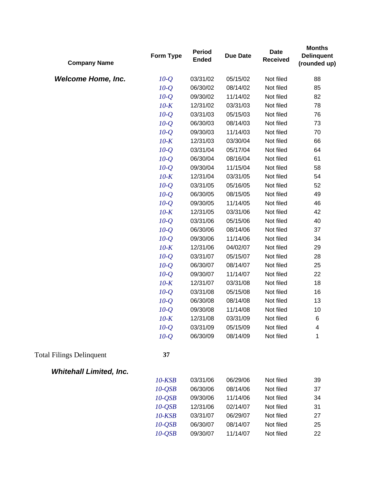| <b>Company Name</b>             | Form Type    | <b>Period</b><br><b>Ended</b> | <b>Due Date</b> | <b>Date</b><br><b>Received</b> | <b>Months</b><br><b>Delinquent</b><br>(rounded up) |
|---------------------------------|--------------|-------------------------------|-----------------|--------------------------------|----------------------------------------------------|
| <b>Welcome Home, Inc.</b>       | $10-Q$       | 03/31/02                      | 05/15/02        | Not filed                      | 88                                                 |
|                                 | $10-Q$       | 06/30/02                      | 08/14/02        | Not filed                      | 85                                                 |
|                                 | $10-Q$       | 09/30/02                      | 11/14/02        | Not filed                      | 82                                                 |
|                                 | $10-K$       | 12/31/02                      | 03/31/03        | Not filed                      | 78                                                 |
|                                 | $10-Q$       | 03/31/03                      | 05/15/03        | Not filed                      | 76                                                 |
|                                 | $10-Q$       | 06/30/03                      | 08/14/03        | Not filed                      | 73                                                 |
|                                 | $10-Q$       | 09/30/03                      | 11/14/03        | Not filed                      | 70                                                 |
|                                 | $10-K$       | 12/31/03                      | 03/30/04        | Not filed                      | 66                                                 |
|                                 | $10-Q$       | 03/31/04                      | 05/17/04        | Not filed                      | 64                                                 |
|                                 | $10-Q$       | 06/30/04                      | 08/16/04        | Not filed                      | 61                                                 |
|                                 | $10-Q$       | 09/30/04                      | 11/15/04        | Not filed                      | 58                                                 |
|                                 | $10-K$       | 12/31/04                      | 03/31/05        | Not filed                      | 54                                                 |
|                                 | $10-Q$       | 03/31/05                      | 05/16/05        | Not filed                      | 52                                                 |
|                                 | $10-Q$       | 06/30/05                      | 08/15/05        | Not filed                      | 49                                                 |
|                                 | $10-Q$       | 09/30/05                      | 11/14/05        | Not filed                      | 46                                                 |
|                                 | $10-K$       | 12/31/05                      | 03/31/06        | Not filed                      | 42                                                 |
|                                 | $10-Q$       | 03/31/06                      | 05/15/06        | Not filed                      | 40                                                 |
|                                 | $10-Q$       | 06/30/06                      | 08/14/06        | Not filed                      | 37                                                 |
|                                 | $10-Q$       | 09/30/06                      | 11/14/06        | Not filed                      | 34                                                 |
|                                 | $10-K$       | 12/31/06                      | 04/02/07        | Not filed                      | 29                                                 |
|                                 | $10-Q$       | 03/31/07                      | 05/15/07        | Not filed                      | 28                                                 |
|                                 | $10-Q$       | 06/30/07                      | 08/14/07        | Not filed                      | 25                                                 |
|                                 | $10-Q$       | 09/30/07                      | 11/14/07        | Not filed                      | 22                                                 |
|                                 | $10-K$       | 12/31/07                      | 03/31/08        | Not filed                      | 18                                                 |
|                                 | $10-Q$       | 03/31/08                      | 05/15/08        | Not filed                      | 16                                                 |
|                                 | $10-Q$       | 06/30/08                      | 08/14/08        | Not filed                      | 13                                                 |
|                                 | $10-Q$       | 09/30/08                      | 11/14/08        | Not filed                      | 10                                                 |
|                                 | $10-K$       | 12/31/08                      | 03/31/09        | Not filed                      | 6                                                  |
|                                 | $10-Q$       | 03/31/09                      | 05/15/09        | Not filed                      | 4                                                  |
|                                 | $10-Q$       | 06/30/09                      | 08/14/09        | Not filed                      | 1                                                  |
| <b>Total Filings Delinquent</b> | 37           |                               |                 |                                |                                                    |
| <b>Whitehall Limited, Inc.</b>  |              |                               |                 |                                |                                                    |
|                                 | $10$ - $KSB$ | 03/31/06                      | 06/29/06        | Not filed                      | 39                                                 |
|                                 | $10-QSB$     | 06/30/06                      | 08/14/06        | Not filed                      | 37                                                 |
|                                 | $10-QSB$     | 09/30/06                      | 11/14/06        | Not filed                      | 34                                                 |
|                                 | $10-QSB$     | 12/31/06                      | 02/14/07        | Not filed                      | 31                                                 |
|                                 | $10$ - $KSB$ | 03/31/07                      | 06/29/07        | Not filed                      | 27                                                 |
|                                 | $10-QSB$     | 06/30/07                      | 08/14/07        | Not filed                      | 25                                                 |
|                                 | $10-QSB$     | 09/30/07                      | 11/14/07        | Not filed                      | 22                                                 |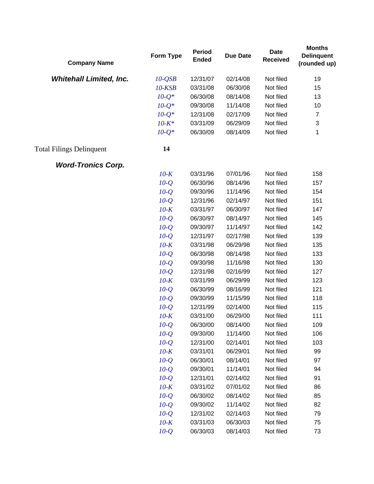| <b>Company Name</b>             | Form Type    | <b>Period</b><br><b>Ended</b> | <b>Due Date</b> | <b>Date</b><br><b>Received</b> | <b>Months</b><br><b>Delinquent</b><br>(rounded up) |
|---------------------------------|--------------|-------------------------------|-----------------|--------------------------------|----------------------------------------------------|
| <b>Whitehall Limited, Inc.</b>  | $10-QSB$     | 12/31/07                      | 02/14/08        | Not filed                      | 19                                                 |
|                                 | $10$ - $KSB$ | 03/31/08                      | 06/30/08        | Not filed                      | 15                                                 |
|                                 | $10-Q^*$     | 06/30/08                      | 08/14/08        | Not filed                      | 13                                                 |
|                                 | $10-Q^*$     | 09/30/08                      | 11/14/08        | Not filed                      | 10                                                 |
|                                 | $10-Q^*$     | 12/31/08                      | 02/17/09        | Not filed                      | $\overline{7}$                                     |
|                                 | $10 - K^*$   | 03/31/09                      | 06/29/09        | Not filed                      | 3                                                  |
|                                 | $10 - Q^*$   | 06/30/09                      | 08/14/09        | Not filed                      | 1                                                  |
| <b>Total Filings Delinquent</b> | 14           |                               |                 |                                |                                                    |
| <b>Word-Tronics Corp.</b>       |              |                               |                 |                                |                                                    |
|                                 | $10-K$       | 03/31/96                      | 07/01/96        | Not filed                      | 158                                                |
|                                 | $10-Q$       | 06/30/96                      | 08/14/96        | Not filed                      | 157                                                |
|                                 | $10-Q$       | 09/30/96                      | 11/14/96        | Not filed                      | 154                                                |
|                                 | $10-Q$       | 12/31/96                      | 02/14/97        | Not filed                      | 151                                                |
|                                 | $10-K$       | 03/31/97                      | 06/30/97        | Not filed                      | 147                                                |
|                                 | $10-Q$       | 06/30/97                      | 08/14/97        | Not filed                      | 145                                                |
|                                 | $10-Q$       | 09/30/97                      | 11/14/97        | Not filed                      | 142                                                |
|                                 | $10-Q$       | 12/31/97                      | 02/17/98        | Not filed                      | 139                                                |
|                                 | $10-K$       | 03/31/98                      | 06/29/98        | Not filed                      | 135                                                |
|                                 | $10-Q$       | 06/30/98                      | 08/14/98        | Not filed                      | 133                                                |
|                                 | $10-Q$       | 09/30/98                      | 11/16/98        | Not filed                      | 130                                                |
|                                 | $10-Q$       | 12/31/98                      | 02/16/99        | Not filed                      | 127                                                |
|                                 | $10-K$       | 03/31/99                      | 06/29/99        | Not filed                      | 123                                                |
|                                 | $10-Q$       | 06/30/99                      | 08/16/99        | Not filed                      | 121                                                |
|                                 | $10-Q$       | 09/30/99                      | 11/15/99        | Not filed                      | 118                                                |
|                                 | $10-Q$       | 12/31/99                      | 02/14/00        | Not filed                      | 115                                                |
|                                 | $10-K$       | 03/31/00                      | 06/29/00        | Not filed                      | 111                                                |
|                                 | $10-Q$       | 06/30/00                      | 08/14/00        | Not filed                      | 109                                                |
|                                 | $10-Q$       | 09/30/00                      | 11/14/00        | Not filed                      | 106                                                |
|                                 | $10-Q$       | 12/31/00                      | 02/14/01        | Not filed                      | 103                                                |
|                                 | $10-K$       | 03/31/01                      | 06/29/01        | Not filed                      | 99                                                 |
|                                 | $10-Q$       | 06/30/01                      | 08/14/01        | Not filed                      | 97                                                 |
|                                 | $10-Q$       | 09/30/01                      | 11/14/01        | Not filed                      | 94                                                 |
|                                 | $10-Q$       | 12/31/01                      | 02/14/02        | Not filed                      | 91                                                 |
|                                 | $10-K$       | 03/31/02                      | 07/01/02        | Not filed                      | 86                                                 |
|                                 | $10-Q$       | 06/30/02                      | 08/14/02        | Not filed                      | 85                                                 |
|                                 | $10-Q$       | 09/30/02                      | 11/14/02        | Not filed                      | 82                                                 |
|                                 | $10-Q$       | 12/31/02                      | 02/14/03        | Not filed                      | 79                                                 |
|                                 | $10-K$       | 03/31/03                      | 06/30/03        | Not filed                      | 75                                                 |
|                                 | $10-Q$       | 06/30/03                      | 08/14/03        | Not filed                      | 73                                                 |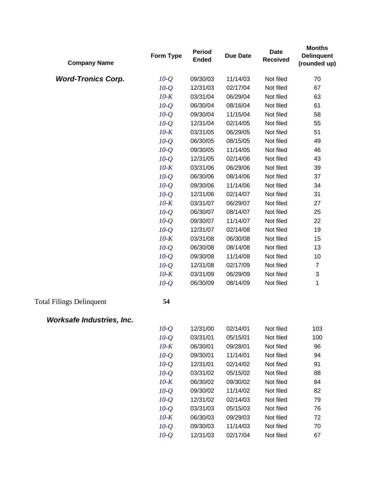| <b>Company Name</b>              | Form Type | <b>Period</b><br><b>Ended</b> | <b>Due Date</b> | <b>Date</b><br><b>Received</b> | <b>Months</b><br><b>Delinquent</b><br>(rounded up) |
|----------------------------------|-----------|-------------------------------|-----------------|--------------------------------|----------------------------------------------------|
| <b>Word-Tronics Corp.</b>        | $10-Q$    | 09/30/03                      | 11/14/03        | Not filed                      | 70                                                 |
|                                  | $10-Q$    | 12/31/03                      | 02/17/04        | Not filed                      | 67                                                 |
|                                  | $10-K$    | 03/31/04                      | 06/29/04        | Not filed                      | 63                                                 |
|                                  | $10-Q$    | 06/30/04                      | 08/16/04        | Not filed                      | 61                                                 |
|                                  | $10-Q$    | 09/30/04                      | 11/15/04        | Not filed                      | 58                                                 |
|                                  | $10-Q$    | 12/31/04                      | 02/14/05        | Not filed                      | 55                                                 |
|                                  | $10-K$    | 03/31/05                      | 06/29/05        | Not filed                      | 51                                                 |
|                                  | $10-Q$    | 06/30/05                      | 08/15/05        | Not filed                      | 49                                                 |
|                                  | $10-Q$    | 09/30/05                      | 11/14/05        | Not filed                      | 46                                                 |
|                                  | $10-Q$    | 12/31/05                      | 02/14/06        | Not filed                      | 43                                                 |
|                                  | $10-K$    | 03/31/06                      | 06/29/06        | Not filed                      | 39                                                 |
|                                  | $10-Q$    | 06/30/06                      | 08/14/06        | Not filed                      | 37                                                 |
|                                  | $10-Q$    | 09/30/06                      | 11/14/06        | Not filed                      | 34                                                 |
|                                  | $10-Q$    | 12/31/06                      | 02/14/07        | Not filed                      | 31                                                 |
|                                  | $10-K$    | 03/31/07                      | 06/29/07        | Not filed                      | 27                                                 |
|                                  | $10-Q$    | 06/30/07                      | 08/14/07        | Not filed                      | 25                                                 |
|                                  | $10-Q$    | 09/30/07                      | 11/14/07        | Not filed                      | 22                                                 |
|                                  | $10-Q$    | 12/31/07                      | 02/14/08        | Not filed                      | 19                                                 |
|                                  | $10-K$    | 03/31/08                      | 06/30/08        | Not filed                      | 15                                                 |
|                                  | $10-Q$    | 06/30/08                      | 08/14/08        | Not filed                      | 13                                                 |
|                                  | $10-Q$    | 09/30/08                      | 11/14/08        | Not filed                      | 10                                                 |
|                                  | $10-Q$    | 12/31/08                      | 02/17/09        | Not filed                      | $\overline{7}$                                     |
|                                  | $10-K$    | 03/31/09                      | 06/29/09        | Not filed                      | 3                                                  |
|                                  | $10-Q$    | 06/30/09                      | 08/14/09        | Not filed                      | 1                                                  |
| <b>Total Filings Delinquent</b>  | 54        |                               |                 |                                |                                                    |
| <b>Worksafe Industries, Inc.</b> |           |                               |                 |                                |                                                    |
|                                  | $10-Q$    | 12/31/00                      | 02/14/01        | Not filed                      | 103                                                |
|                                  | $10-Q$    | 03/31/01                      | 05/15/01        | Not filed                      | 100                                                |
|                                  | $10-K$    | 06/30/01                      | 09/28/01        | Not filed                      | 96                                                 |
|                                  | $10-Q$    | 09/30/01                      | 11/14/01        | Not filed                      | 94                                                 |
|                                  | $10-Q$    | 12/31/01                      | 02/14/02        | Not filed                      | 91                                                 |
|                                  | $10-Q$    | 03/31/02                      | 05/15/02        | Not filed                      | 88                                                 |
|                                  | $10-K$    | 06/30/02                      | 09/30/02        | Not filed                      | 84                                                 |
|                                  | $10-Q$    | 09/30/02                      | 11/14/02        | Not filed                      | 82                                                 |
|                                  | $10-Q$    | 12/31/02                      | 02/14/03        | Not filed                      | 79                                                 |
|                                  | $10-Q$    | 03/31/03                      | 05/15/03        | Not filed                      | 76                                                 |
|                                  | $10-K$    | 06/30/03                      | 09/29/03        | Not filed                      | 72                                                 |
|                                  | $10-Q$    | 09/30/03                      | 11/14/03        | Not filed                      | 70                                                 |
|                                  | $10-Q$    | 12/31/03                      | 02/17/04        | Not filed                      | 67                                                 |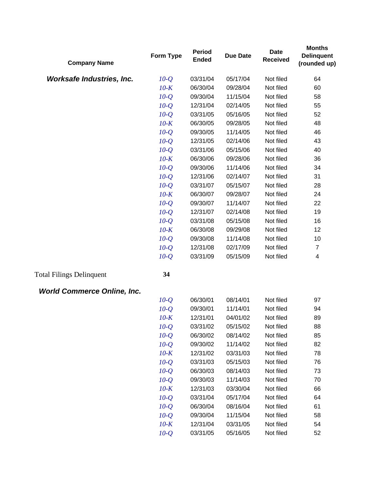| <b>Company Name</b>                | Form Type | <b>Period</b><br><b>Ended</b> | <b>Due Date</b> | <b>Date</b><br><b>Received</b> | <b>Months</b><br><b>Delinquent</b><br>(rounded up) |
|------------------------------------|-----------|-------------------------------|-----------------|--------------------------------|----------------------------------------------------|
| <b>Worksafe Industries, Inc.</b>   | $10-Q$    | 03/31/04                      | 05/17/04        | Not filed                      | 64                                                 |
|                                    | $10-K$    | 06/30/04                      | 09/28/04        | Not filed                      | 60                                                 |
|                                    | $10-Q$    | 09/30/04                      | 11/15/04        | Not filed                      | 58                                                 |
|                                    | $10-Q$    | 12/31/04                      | 02/14/05        | Not filed                      | 55                                                 |
|                                    | $10-Q$    | 03/31/05                      | 05/16/05        | Not filed                      | 52                                                 |
|                                    | $10-K$    | 06/30/05                      | 09/28/05        | Not filed                      | 48                                                 |
|                                    | $10-Q$    | 09/30/05                      | 11/14/05        | Not filed                      | 46                                                 |
|                                    | $10-Q$    | 12/31/05                      | 02/14/06        | Not filed                      | 43                                                 |
|                                    | $10-Q$    | 03/31/06                      | 05/15/06        | Not filed                      | 40                                                 |
|                                    | $10-K$    | 06/30/06                      | 09/28/06        | Not filed                      | 36                                                 |
|                                    | $10-Q$    | 09/30/06                      | 11/14/06        | Not filed                      | 34                                                 |
|                                    | $10-Q$    | 12/31/06                      | 02/14/07        | Not filed                      | 31                                                 |
|                                    | $10-Q$    | 03/31/07                      | 05/15/07        | Not filed                      | 28                                                 |
|                                    | $10-K$    | 06/30/07                      | 09/28/07        | Not filed                      | 24                                                 |
|                                    | $10-Q$    | 09/30/07                      | 11/14/07        | Not filed                      | 22                                                 |
|                                    | $10-Q$    | 12/31/07                      | 02/14/08        | Not filed                      | 19                                                 |
|                                    | $10-Q$    | 03/31/08                      | 05/15/08        | Not filed                      | 16                                                 |
|                                    | $10-K$    | 06/30/08                      | 09/29/08        | Not filed                      | 12                                                 |
|                                    | $10-Q$    | 09/30/08                      | 11/14/08        | Not filed                      | 10                                                 |
|                                    | $10-Q$    | 12/31/08                      | 02/17/09        | Not filed                      | $\overline{7}$                                     |
|                                    | $10-Q$    | 03/31/09                      | 05/15/09        | Not filed                      | $\overline{\mathcal{A}}$                           |
| <b>Total Filings Delinquent</b>    | 34        |                               |                 |                                |                                                    |
| <b>World Commerce Online, Inc.</b> |           |                               |                 |                                |                                                    |
|                                    | $10-Q$    | 06/30/01                      | 08/14/01        | Not filed                      | 97                                                 |
|                                    | $10-Q$    | 09/30/01                      | 11/14/01        | Not filed                      | 94                                                 |
|                                    | $10-K$    | 12/31/01                      | 04/01/02        | Not filed                      | 89                                                 |
|                                    | $10-Q$    | 03/31/02                      | 05/15/02        | Not filed                      | 88                                                 |
|                                    | $10-Q$    | 06/30/02                      | 08/14/02        | Not filed                      | 85                                                 |
|                                    | $10-Q$    | 09/30/02                      | 11/14/02        | Not filed                      | 82                                                 |
|                                    | $10-K$    | 12/31/02                      | 03/31/03        | Not filed                      | 78                                                 |
|                                    | $10-Q$    | 03/31/03                      | 05/15/03        | Not filed                      | 76                                                 |
|                                    | $10-Q$    | 06/30/03                      | 08/14/03        | Not filed                      | 73                                                 |
|                                    | $10-Q$    | 09/30/03                      | 11/14/03        | Not filed                      | 70                                                 |
|                                    | $10-K$    | 12/31/03                      | 03/30/04        | Not filed                      | 66                                                 |
|                                    | $10-Q$    | 03/31/04                      | 05/17/04        | Not filed                      | 64                                                 |
|                                    | $10-Q$    | 06/30/04                      | 08/16/04        | Not filed                      | 61                                                 |
|                                    | $10-Q$    | 09/30/04                      | 11/15/04        | Not filed                      | 58                                                 |
|                                    | $10-K$    | 12/31/04                      | 03/31/05        | Not filed                      | 54                                                 |
|                                    | $10-Q$    | 03/31/05                      | 05/16/05        | Not filed                      | 52                                                 |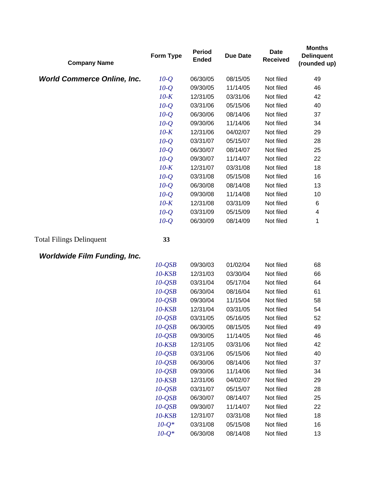| <b>Company Name</b>                 | <b>Form Type</b> | <b>Period</b><br><b>Ended</b> | <b>Due Date</b> | <b>Date</b><br><b>Received</b> | <b>Months</b><br><b>Delinquent</b><br>(rounded up) |
|-------------------------------------|------------------|-------------------------------|-----------------|--------------------------------|----------------------------------------------------|
| <b>World Commerce Online, Inc.</b>  | $10-Q$           | 06/30/05                      | 08/15/05        | Not filed                      | 49                                                 |
|                                     | $10-Q$           | 09/30/05                      | 11/14/05        | Not filed                      | 46                                                 |
|                                     | $10-K$           | 12/31/05                      | 03/31/06        | Not filed                      | 42                                                 |
|                                     | $10-Q$           | 03/31/06                      | 05/15/06        | Not filed                      | 40                                                 |
|                                     | $10-Q$           | 06/30/06                      | 08/14/06        | Not filed                      | 37                                                 |
|                                     | $10-Q$           | 09/30/06                      | 11/14/06        | Not filed                      | 34                                                 |
|                                     | $10-K$           | 12/31/06                      | 04/02/07        | Not filed                      | 29                                                 |
|                                     | $10-Q$           | 03/31/07                      | 05/15/07        | Not filed                      | 28                                                 |
|                                     | $10-Q$           | 06/30/07                      | 08/14/07        | Not filed                      | 25                                                 |
|                                     | $10-Q$           | 09/30/07                      | 11/14/07        | Not filed                      | 22                                                 |
|                                     | $10-K$           | 12/31/07                      | 03/31/08        | Not filed                      | 18                                                 |
|                                     | $10-Q$           | 03/31/08                      | 05/15/08        | Not filed                      | 16                                                 |
|                                     | $10-Q$           | 06/30/08                      | 08/14/08        | Not filed                      | 13                                                 |
|                                     | $10-Q$           | 09/30/08                      | 11/14/08        | Not filed                      | 10                                                 |
|                                     | $10-K$           | 12/31/08                      | 03/31/09        | Not filed                      | 6                                                  |
|                                     | $10-Q$           | 03/31/09                      | 05/15/09        | Not filed                      | 4                                                  |
|                                     | $10-Q$           | 06/30/09                      | 08/14/09        | Not filed                      | 1                                                  |
| <b>Total Filings Delinquent</b>     | 33               |                               |                 |                                |                                                    |
| <b>Worldwide Film Funding, Inc.</b> |                  |                               |                 |                                |                                                    |
|                                     | $10-QSB$         | 09/30/03                      | 01/02/04        | Not filed                      | 68                                                 |
|                                     | $10$ - $KSB$     | 12/31/03                      | 03/30/04        | Not filed                      | 66                                                 |
|                                     | $10-QSB$         | 03/31/04                      | 05/17/04        | Not filed                      | 64                                                 |
|                                     | $10-QSB$         | 06/30/04                      | 08/16/04        | Not filed                      | 61                                                 |
|                                     | $10-QSB$         | 09/30/04                      | 11/15/04        | Not filed                      | 58                                                 |
|                                     | $10$ - $KSB$     | 12/31/04                      | 03/31/05        | Not filed                      | 54                                                 |
|                                     | $10-QSB$         | 03/31/05                      | 05/16/05        | Not filed                      | 52                                                 |
|                                     | $10-QSB$         | 06/30/05                      | 08/15/05        | Not filed                      | 49                                                 |
|                                     | $10-QSB$         | 09/30/05                      | 11/14/05        | Not filed                      | 46                                                 |
|                                     | $10$ - $KSB$     | 12/31/05                      | 03/31/06        | Not filed                      | 42                                                 |
|                                     | $10-QSB$         | 03/31/06                      | 05/15/06        | Not filed                      | 40                                                 |
|                                     | $10-QSB$         | 06/30/06                      | 08/14/06        | Not filed                      | 37                                                 |
|                                     | $10-QSB$         | 09/30/06                      | 11/14/06        | Not filed                      | 34                                                 |
|                                     | $10$ - $KSB$     | 12/31/06                      | 04/02/07        | Not filed                      | 29                                                 |
|                                     | $10-QSB$         | 03/31/07                      | 05/15/07        | Not filed                      | 28                                                 |
|                                     | $10-QSB$         | 06/30/07                      | 08/14/07        | Not filed                      | 25                                                 |
|                                     | $10-QSB$         | 09/30/07                      | 11/14/07        | Not filed                      | 22                                                 |
|                                     | $10$ - $KSB$     | 12/31/07                      | 03/31/08        | Not filed                      | 18                                                 |
|                                     | $10 - Q^*$       | 03/31/08                      | 05/15/08        | Not filed                      | 16                                                 |
|                                     | $10-Q^*$         | 06/30/08                      | 08/14/08        | Not filed                      | 13                                                 |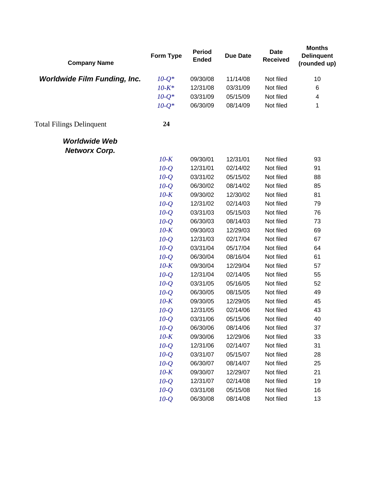| <b>Company Name</b>                          | Form Type  | <b>Period</b><br><b>Ended</b> | <b>Due Date</b> | <b>Date</b><br><b>Received</b> | <b>Months</b><br><b>Delinquent</b><br>(rounded up) |
|----------------------------------------------|------------|-------------------------------|-----------------|--------------------------------|----------------------------------------------------|
| <b>Worldwide Film Funding, Inc.</b>          | $10 - Q^*$ | 09/30/08                      | 11/14/08        | Not filed                      | 10                                                 |
|                                              | $10 - K^*$ | 12/31/08                      | 03/31/09        | Not filed                      | 6                                                  |
|                                              | $10 - Q^*$ | 03/31/09                      | 05/15/09        | Not filed                      | 4                                                  |
|                                              | $10-Q^*$   | 06/30/09                      | 08/14/09        | Not filed                      | 1                                                  |
| <b>Total Filings Delinquent</b>              | 24         |                               |                 |                                |                                                    |
| <b>Worldwide Web</b><br><b>Networx Corp.</b> |            |                               |                 |                                |                                                    |
|                                              | $10-K$     | 09/30/01                      | 12/31/01        | Not filed                      | 93                                                 |
|                                              | $10-Q$     | 12/31/01                      | 02/14/02        | Not filed                      | 91                                                 |
|                                              | $10-Q$     | 03/31/02                      | 05/15/02        | Not filed                      | 88                                                 |
|                                              | $10-Q$     | 06/30/02                      | 08/14/02        | Not filed                      | 85                                                 |
|                                              | $10-K$     | 09/30/02                      | 12/30/02        | Not filed                      | 81                                                 |
|                                              | $10-Q$     | 12/31/02                      | 02/14/03        | Not filed                      | 79                                                 |
|                                              | $10-Q$     | 03/31/03                      | 05/15/03        | Not filed                      | 76                                                 |
|                                              | $10-Q$     | 06/30/03                      | 08/14/03        | Not filed                      | 73                                                 |
|                                              | $10-K$     | 09/30/03                      | 12/29/03        | Not filed                      | 69                                                 |
|                                              | $10-Q$     | 12/31/03                      | 02/17/04        | Not filed                      | 67                                                 |
|                                              | $10-Q$     | 03/31/04                      | 05/17/04        | Not filed                      | 64                                                 |
|                                              | $10-Q$     | 06/30/04                      | 08/16/04        | Not filed                      | 61                                                 |
|                                              | $10-K$     | 09/30/04                      | 12/29/04        | Not filed                      | 57                                                 |
|                                              | $10-Q$     | 12/31/04                      | 02/14/05        | Not filed                      | 55                                                 |
|                                              | $10-Q$     | 03/31/05                      | 05/16/05        | Not filed                      | 52                                                 |
|                                              | $10-Q$     | 06/30/05                      | 08/15/05        | Not filed                      | 49                                                 |
|                                              | $10-K$     | 09/30/05                      | 12/29/05        | Not filed                      | 45                                                 |
|                                              | $10-Q$     | 12/31/05                      | 02/14/06        | Not filed                      | 43                                                 |
|                                              | $10-Q$     | 03/31/06                      | 05/15/06        | Not filed                      | 40                                                 |
|                                              | $10-Q$     | 06/30/06                      | 08/14/06        | Not filed                      | 37                                                 |
|                                              | $10-K$     | 09/30/06                      | 12/29/06        | Not filed                      | 33                                                 |
|                                              | $10-Q$     | 12/31/06                      | 02/14/07        | Not filed                      | 31                                                 |
|                                              | $10-Q$     | 03/31/07                      | 05/15/07        | Not filed                      | 28                                                 |
|                                              | $10-Q$     | 06/30/07                      | 08/14/07        | Not filed                      | 25                                                 |
|                                              | $10-K$     | 09/30/07                      | 12/29/07        | Not filed                      | 21                                                 |
|                                              | $10-Q$     | 12/31/07                      | 02/14/08        | Not filed                      | 19                                                 |
|                                              | $10 - Q$   | 03/31/08                      | 05/15/08        | Not filed                      | 16                                                 |
|                                              | $10-Q$     | 06/30/08                      | 08/14/08        | Not filed                      | 13                                                 |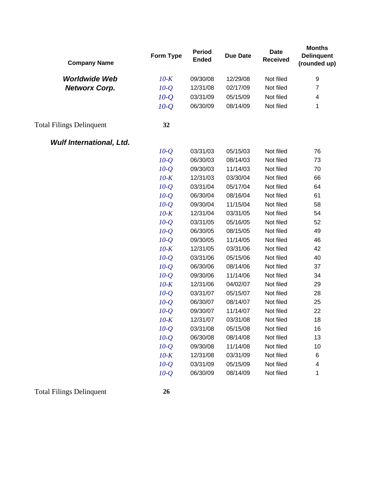| <b>Company Name</b>             | Form Type | <b>Period</b><br><b>Ended</b> | <b>Due Date</b> | <b>Date</b><br><b>Received</b> | <b>Months</b><br><b>Delinquent</b><br>(rounded up) |
|---------------------------------|-----------|-------------------------------|-----------------|--------------------------------|----------------------------------------------------|
| <b>Worldwide Web</b>            | $10-K$    | 09/30/08                      | 12/29/08        | Not filed                      | 9                                                  |
| <b>Networx Corp.</b>            | $10-Q$    | 12/31/08                      | 02/17/09        | Not filed                      | $\overline{7}$                                     |
|                                 | $10-Q$    | 03/31/09                      | 05/15/09        | Not filed                      | $\overline{\mathcal{A}}$                           |
|                                 | $10-Q$    | 06/30/09                      | 08/14/09        | Not filed                      | 1                                                  |
| <b>Total Filings Delinquent</b> | 32        |                               |                 |                                |                                                    |
| <b>Wulf International, Ltd.</b> |           |                               |                 |                                |                                                    |
|                                 | $10-Q$    | 03/31/03                      | 05/15/03        | Not filed                      | 76                                                 |
|                                 | $10-Q$    | 06/30/03                      | 08/14/03        | Not filed                      | 73                                                 |
|                                 | $10-Q$    | 09/30/03                      | 11/14/03        | Not filed                      | 70                                                 |
|                                 | $10-K$    | 12/31/03                      | 03/30/04        | Not filed                      | 66                                                 |
|                                 | $10-Q$    | 03/31/04                      | 05/17/04        | Not filed                      | 64                                                 |
|                                 | $10-Q$    | 06/30/04                      | 08/16/04        | Not filed                      | 61                                                 |
|                                 | $10-Q$    | 09/30/04                      | 11/15/04        | Not filed                      | 58                                                 |
|                                 | $10-K$    | 12/31/04                      | 03/31/05        | Not filed                      | 54                                                 |
|                                 | $10-Q$    | 03/31/05                      | 05/16/05        | Not filed                      | 52                                                 |
|                                 | $10-Q$    | 06/30/05                      | 08/15/05        | Not filed                      | 49                                                 |
|                                 | $10-Q$    | 09/30/05                      | 11/14/05        | Not filed                      | 46                                                 |
|                                 | $10-K$    | 12/31/05                      | 03/31/06        | Not filed                      | 42                                                 |
|                                 | $10-Q$    | 03/31/06                      | 05/15/06        | Not filed                      | 40                                                 |
|                                 | $10-Q$    | 06/30/06                      | 08/14/06        | Not filed                      | 37                                                 |
|                                 | $10-Q$    | 09/30/06                      | 11/14/06        | Not filed                      | 34                                                 |
|                                 | $10-K$    | 12/31/06                      | 04/02/07        | Not filed                      | 29                                                 |
|                                 | $10-Q$    | 03/31/07                      | 05/15/07        | Not filed                      | 28                                                 |
|                                 | $10-Q$    | 06/30/07                      | 08/14/07        | Not filed                      | 25                                                 |
|                                 | $10-Q$    | 09/30/07                      | 11/14/07        | Not filed                      | 22                                                 |
|                                 | $10-K$    | 12/31/07                      | 03/31/08        | Not filed                      | 18                                                 |
|                                 | $10-Q$    | 03/31/08                      | 05/15/08        | Not filed                      | 16                                                 |
|                                 | $10-Q$    | 06/30/08                      | 08/14/08        | Not filed                      | 13                                                 |
|                                 | $10-Q$    | 09/30/08                      | 11/14/08        | Not filed                      | 10                                                 |
|                                 | $10-K$    | 12/31/08                      | 03/31/09        | Not filed                      | 6                                                  |
|                                 | $10-Q$    | 03/31/09                      | 05/15/09        | Not filed                      | 4                                                  |
|                                 | $10-Q$    | 06/30/09                      | 08/14/09        | Not filed                      | 1                                                  |

Total Filings Delinquent **26**